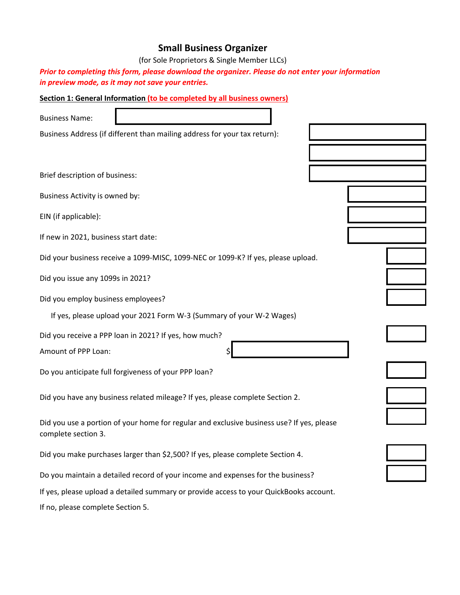# **Small Business Organizer**

(for Sole Proprietors & Single Member LLCs)

*Prior to completing this form, please download the organizer. Please do not enter your information in preview mode, as it may not save your entries.*

| Section 1: General Information (to be completed by all business owners)                                          |  |
|------------------------------------------------------------------------------------------------------------------|--|
| <b>Business Name:</b>                                                                                            |  |
| Business Address (if different than mailing address for your tax return):                                        |  |
|                                                                                                                  |  |
| Brief description of business:                                                                                   |  |
| Business Activity is owned by:                                                                                   |  |
| EIN (if applicable):                                                                                             |  |
| If new in 2021, business start date:                                                                             |  |
| Did your business receive a 1099-MISC, 1099-NEC or 1099-K? If yes, please upload.                                |  |
| Did you issue any 1099s in 2021?                                                                                 |  |
| Did you employ business employees?                                                                               |  |
| If yes, please upload your 2021 Form W-3 (Summary of your W-2 Wages)                                             |  |
| Did you receive a PPP loan in 2021? If yes, how much?                                                            |  |
| Amount of PPP Loan:                                                                                              |  |
| Do you anticipate full forgiveness of your PPP loan?                                                             |  |
| Did you have any business related mileage? If yes, please complete Section 2.                                    |  |
| Did you use a portion of your home for regular and exclusive business use? If yes, please<br>complete section 3. |  |
| Did you make purchases larger than \$2,500? If yes, please complete Section 4.                                   |  |
| Do you maintain a detailed record of your income and expenses for the business?                                  |  |
| If yes, please upload a detailed summary or provide access to your QuickBooks account.                           |  |
| If no, please complete Section 5.                                                                                |  |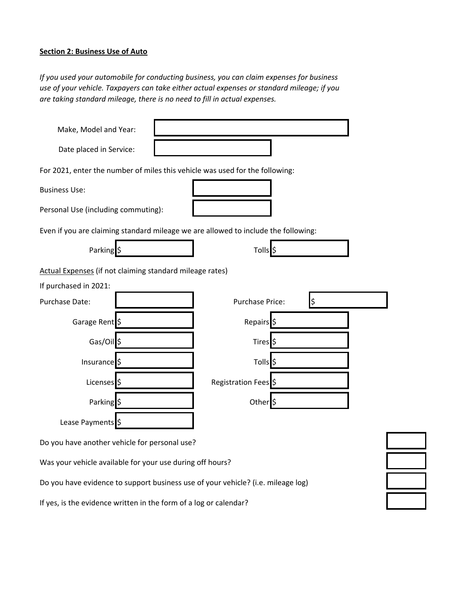#### **Section 2: Business Use of Auto**

*If you used your automobile for conducting business, you can claim expenses for business use of your vehicle. Taxpayers can take either actual expenses or standard mileage; if you are taking standard mileage, there is no need to fill in actual expenses.*

| Make, Model and Year:                                    |                                                                                    |
|----------------------------------------------------------|------------------------------------------------------------------------------------|
| Date placed in Service:                                  |                                                                                    |
|                                                          | For 2021, enter the number of miles this vehicle was used for the following:       |
| <b>Business Use:</b>                                     |                                                                                    |
| Personal Use (including commuting):                      |                                                                                    |
|                                                          | Even if you are claiming standard mileage we are allowed to include the following: |
| Parking \$                                               | Tolls <sup>\$</sup>                                                                |
| Actual Expenses (if not claiming standard mileage rates) |                                                                                    |
| If purchased in 2021:                                    |                                                                                    |
| Purchase Date:                                           | $\ddot{\varsigma}$<br><b>Purchase Price:</b>                                       |
| Garage Rent \$                                           | Repairs <sup>5</sup>                                                               |
| Gas/Oil \$                                               | Tires <sup>\$</sup>                                                                |
| Insurance \$                                             | Tolls <sup>5</sup>                                                                 |
| Licenses \$                                              | Registration Fees \$                                                               |
| Parking <sup>5</sup>                                     | Other <sup>5</sup>                                                                 |
| Lease Payments \$                                        |                                                                                    |

Do you have another vehicle for personal use?

Was your vehicle available for your use during off hours?

Do you have evidence to support business use of your vehicle? (i.e. mileage log)

If yes, is the evidence written in the form of a log or calendar?